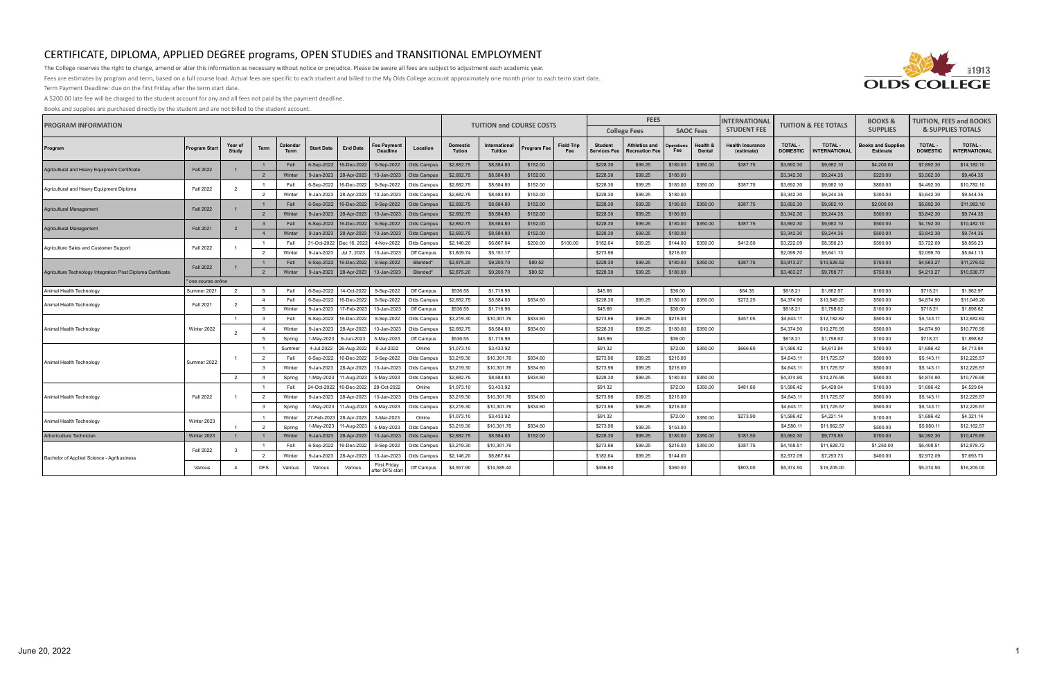

The College reserves the right to change, amend or alter this information as necessary without notice or prejudice. Please be aware all fees are subject to adjustment each academic year.

Fees are estimates by program and term, based on a full course load. Actual fees are specific to each student and billed to the My Olds College account approximately one month prior to each term start date.

Term Payment Deadline: due on the first Friday after the term start date.

A \$200.00 late fee will be charged to the student account for any and all fees not paid by the payment deadline.

| <b>PROGRAM INFORMATION</b>                                  |                      | <b>TUITION and COURSE COSTS</b><br><b>Domestic</b><br>International<br>Program Fee<br><b>Tution</b><br><b>Tuition</b><br>Fee<br>\$2,682.75<br>\$8,584.80<br>\$152.00<br>\$2,682.75<br>\$8,584.80<br>\$152.00<br>\$2,682.75<br>\$8,584.80<br>\$152.00<br>\$2,682.75<br>\$8,584.80<br>\$152.00<br>\$2,682.75<br>\$8,584.80<br>\$152.00<br>\$2,682.75<br>\$8,584.80<br>\$152.00<br>\$2,682.75<br>\$152.00<br>\$8,584.80<br>\$2,682.75<br>\$8,584.80<br>\$152.00<br>\$2,146.20<br>\$6,867.84<br>\$200.00<br>\$1,609.74<br>\$5,151.17<br>\$2,875.20<br>\$80.52<br>\$9,200.70<br>\$2,875.20<br>\$80.52<br>\$9,200.70<br>\$536.55<br>\$1,716.96<br>\$2,682.75<br>\$8,584.80<br>\$834.60<br>\$536.55<br>\$1,716.96 |                         |                         |                   |                 | <b>FEES</b>                            |                      |            | <b>INTERNATIONAL</b> | <b>TUITION &amp; FEE TOTALS</b> |                   | <b>BOOKS &amp;</b>                    | <b>TUITION, FEES and BOOKS</b>                |                          |                           |                                       |                                   |                                |                                      |                                  |                                       |
|-------------------------------------------------------------|----------------------|------------------------------------------------------------------------------------------------------------------------------------------------------------------------------------------------------------------------------------------------------------------------------------------------------------------------------------------------------------------------------------------------------------------------------------------------------------------------------------------------------------------------------------------------------------------------------------------------------------------------------------------------------------------------------------------------------------|-------------------------|-------------------------|-------------------|-----------------|----------------------------------------|----------------------|------------|----------------------|---------------------------------|-------------------|---------------------------------------|-----------------------------------------------|--------------------------|---------------------------|---------------------------------------|-----------------------------------|--------------------------------|--------------------------------------|----------------------------------|---------------------------------------|
|                                                             |                      |                                                                                                                                                                                                                                                                                                                                                                                                                                                                                                                                                                                                                                                                                                            |                         |                         |                   |                 |                                        |                      |            |                      |                                 |                   |                                       | <b>College Fees</b>                           |                          | <b>SAOC Fees</b>          | <b>STUDENT FEE</b>                    |                                   |                                | <b>SUPPLIES</b>                      |                                  | <b>&amp; SUPPLIES TOTALS</b>          |
| Program                                                     | <b>Program Start</b> | Year of<br>Study                                                                                                                                                                                                                                                                                                                                                                                                                                                                                                                                                                                                                                                                                           | Term                    | Calendar<br><b>Term</b> | <b>Start Date</b> | <b>End Date</b> | ee Payment<br><b>Deadling</b>          | Location             |            |                      |                                 | <b>Field Trip</b> | <b>Student</b><br><b>Services Fee</b> | <b>Athletics and</b><br><b>Recreation Fee</b> | <b>Operations</b><br>Fee | Health 8<br><b>Dental</b> | <b>Health Insurance</b><br>(estimate) | <b>TOTAL -</b><br><b>DOMESTIC</b> | TOTAL -<br><b>NTERNATIONAL</b> | ooks and Supplies<br><b>Estimate</b> | <b>TOTAL-</b><br><b>DOMESTIC</b> | <b>TOTAL -</b><br><b>NTERNATIONAL</b> |
| Agricultural and Heavy Equipment Certificate                | <b>Fall 2022</b>     |                                                                                                                                                                                                                                                                                                                                                                                                                                                                                                                                                                                                                                                                                                            |                         | Fall                    | 6-Sep-2022        | 16-Dec-2022     | 9-Sep-2022                             | Olds Campus          |            |                      |                                 |                   | \$228.30                              | \$99.25                                       | \$180.00                 | \$350.00                  | \$387.75                              | \$3,692.30                        | \$9,982.10                     | \$4,200.00                           | \$7,892.30                       | \$14,182.10                           |
|                                                             |                      |                                                                                                                                                                                                                                                                                                                                                                                                                                                                                                                                                                                                                                                                                                            | $\overline{2}$          | Winter                  | 9-Jan-2023        | 28-Apr-2023     | 13-Jan-2023                            | Olds Campus          |            |                      |                                 |                   | \$228.30                              | \$99.25                                       | \$180.00                 |                           |                                       | \$3,342.30                        | \$9,244.35                     | \$220.00                             | \$3,562.30                       | \$9,464.35                            |
| Agricultural and Heavy Equipment Diploma                    | <b>Fall 2022</b>     | 2                                                                                                                                                                                                                                                                                                                                                                                                                                                                                                                                                                                                                                                                                                          |                         | Fall                    | 6-Sep-2022        | 16-Dec-2022     | 9-Sep-2022                             | Olds Campus          |            |                      |                                 |                   | \$228.30                              | \$99.25                                       | \$180.00                 | \$350.00                  | \$387.75                              | \$3,692.30                        | \$9,982.10                     | \$800.00                             | \$4,492.30                       | \$10,782.10                           |
|                                                             |                      |                                                                                                                                                                                                                                                                                                                                                                                                                                                                                                                                                                                                                                                                                                            | $\overline{2}$          | Winter                  | 9-Jan-2023        | 28-Apr-2023     | 13-Jan-2023                            | Olds Campus          |            |                      |                                 |                   | \$228.30                              | \$99.25                                       | \$180.00                 |                           |                                       | \$3,342.30                        | \$9,244.35                     | \$300.00                             | \$3,642.30                       | \$9,544.35                            |
| Agricultural Management                                     | <b>Fall 2022</b>     |                                                                                                                                                                                                                                                                                                                                                                                                                                                                                                                                                                                                                                                                                                            | $\overline{1}$          | Fall                    | 6-Sep-2022        | 16-Dec-2022     | 9-Sep-2022                             | Olds Campus          |            |                      |                                 |                   | \$228.30                              | \$99.25                                       | \$180.00                 | \$350.00                  | \$387.75                              | \$3,692.30                        | \$9,982.10                     | \$2,000.00                           | \$5,692.30                       | \$11,982.10                           |
|                                                             |                      |                                                                                                                                                                                                                                                                                                                                                                                                                                                                                                                                                                                                                                                                                                            | $\overline{2}$          | Winter                  | 9-Jan-2023        | 28-Apr-2023     | 13-Jan-2023                            | Olds Campus          |            |                      |                                 |                   | \$228.30                              | \$99.25                                       | \$180.00                 |                           |                                       | \$3,342.30                        | \$9,244.35                     | \$500.00                             | \$3,842.30                       | \$9,744.35                            |
| Agricultural Management                                     | <b>Fall 2021</b>     | 2                                                                                                                                                                                                                                                                                                                                                                                                                                                                                                                                                                                                                                                                                                          | $\overline{\mathbf{3}}$ | Fall                    | 6-Sep-2022        | 16-Dec-2022     | 9-Sep-2022                             | Olds Campus          |            |                      |                                 |                   | \$228.30                              | \$99.25                                       | \$180.00                 | \$350.00                  | \$387.75                              | \$3,692.30                        | \$9,982.10                     | \$500.00                             | \$4,192.30                       | \$10,482.10                           |
|                                                             |                      |                                                                                                                                                                                                                                                                                                                                                                                                                                                                                                                                                                                                                                                                                                            | $\overline{4}$          | Winter                  | 9-Jan-2023        | 28-Apr-2023     | 13-Jan-2023                            | Olds Campus          |            |                      |                                 |                   | \$228.30                              | \$99.25                                       | \$180.00                 |                           |                                       | \$3,342.30                        | \$9,244.35                     | \$500.00                             | \$3,842.30                       | \$9,744.35                            |
| <b>Fall 2022</b><br>Agriculture Sales and Customer Support  |                      |                                                                                                                                                                                                                                                                                                                                                                                                                                                                                                                                                                                                                                                                                                            | $\overline{1}$          | Fall                    | 31-Oct-2022       | Dec 16, 2022    | 4-Nov-2022                             | Olds Campus          |            |                      |                                 | \$100.00          | \$182.64                              | \$99.25                                       | \$144.00                 | \$350.00                  | \$412.50                              | \$3,222.09                        | \$8,356.23                     | \$500.00                             | \$3,722.09                       | \$8,856.23                            |
|                                                             |                      |                                                                                                                                                                                                                                                                                                                                                                                                                                                                                                                                                                                                                                                                                                            | $\overline{2}$          | Winter                  | 9-Jan-2023        | Jul 7, 2023     | 13-Jan-2023                            | Off Campus           |            |                      |                                 |                   | \$273.96                              |                                               | \$216.00                 |                           |                                       | \$2,099.70                        | \$5,641.13                     |                                      | \$2,099.70                       | \$5,641.13                            |
|                                                             | <b>Fall 2022</b>     |                                                                                                                                                                                                                                                                                                                                                                                                                                                                                                                                                                                                                                                                                                            | $\overline{1}$          | Fall                    | 6-Sep-2022        | 16-Dec-2022     | 9-Sep-2022                             | Blended*             |            |                      |                                 |                   | \$228.30                              | \$99.25                                       | \$180.00                 | \$350.00                  | \$387.75                              | \$3,813.27                        | \$10,526.52                    | \$750.00                             | \$4,563.27                       | \$11,276.52                           |
| Agriculture Technology Integration Post Diploma Certificate |                      |                                                                                                                                                                                                                                                                                                                                                                                                                                                                                                                                                                                                                                                                                                            | $\overline{2}$          | Winter                  | 9-Jan-2023        | 28-Apr-2023     | 13-Jan-2023                            | Blended <sup>*</sup> |            |                      |                                 |                   | \$228.30                              | \$99.25                                       | \$180.00                 |                           |                                       | \$3,463.27                        | \$9,788.77                     | \$750.00                             | \$4,213.27                       | \$10,538.77                           |
|                                                             | * one course online  |                                                                                                                                                                                                                                                                                                                                                                                                                                                                                                                                                                                                                                                                                                            |                         |                         |                   |                 |                                        |                      |            |                      |                                 |                   |                                       |                                               |                          |                           |                                       |                                   |                                |                                      |                                  |                                       |
| Animal Health Technology                                    | Summer 2021          | $\overline{2}$                                                                                                                                                                                                                                                                                                                                                                                                                                                                                                                                                                                                                                                                                             | -5                      | Fall                    | 6-Sep-2022        | 14-Oct-2022     | 9-Sep-2022                             | Off Campus           |            |                      |                                 |                   | \$45.66                               |                                               | \$36.00                  |                           | \$64.35                               | \$618.21                          | \$1,862.97                     | \$100.00                             | \$718.21                         | \$1,962.97                            |
| Animal Health Technology                                    | <b>Fall 2021</b>     | 2                                                                                                                                                                                                                                                                                                                                                                                                                                                                                                                                                                                                                                                                                                          | $\overline{4}$          | Fall                    | 6-Sep-2022        | 16-Dec-2022     | 9-Sep-2022                             | Olds Campus          |            |                      |                                 |                   | \$228.30                              | \$99.25                                       | \$180.00                 | \$350.00                  | \$272.25                              | \$4,374.90                        | \$10,549.20                    | \$500.00                             | \$4,874.90                       | \$11,049.20                           |
|                                                             |                      |                                                                                                                                                                                                                                                                                                                                                                                                                                                                                                                                                                                                                                                                                                            | 5                       | Winte                   | 9-Jan-2023        | 7-Feb-2023      | 13-Jan-2023                            | Off Campus           |            |                      |                                 |                   | \$45.66                               |                                               | \$36.00                  |                           |                                       | \$618.21                          | \$1,798.62                     | \$100.00                             | \$718.21                         | \$1,898.62                            |
|                                                             |                      | $\overline{1}$                                                                                                                                                                                                                                                                                                                                                                                                                                                                                                                                                                                                                                                                                             | $\overline{3}$          | Fall                    | 6-Sep-2022        | 16-Dec-202      | 9-Sep-2022                             | Olds Campus          | \$3,219.30 | \$10,301.76          | \$834.60                        |                   | \$273.96                              | \$99.25                                       | \$216.00                 |                           | \$457.05                              | \$4,643.11                        | \$12,182.62                    | \$500.00                             | \$5,143.11                       | \$12,682.62                           |
| Animal Health Technology                                    | Winter 2022          | $\overline{2}$                                                                                                                                                                                                                                                                                                                                                                                                                                                                                                                                                                                                                                                                                             | $\overline{4}$          | Winter                  | 9-Jan-2023        | 28-Apr-202      | 13-Jan-2023                            | Olds Campus          | \$2,682.75 | \$8,584.80           | \$834.60                        |                   | \$228.30                              | \$99.25                                       | \$180.00                 | \$350.00                  |                                       | \$4,374.90                        | \$10,276.95                    | \$500.00                             | \$4,874.90                       | \$10,776.95                           |
|                                                             |                      |                                                                                                                                                                                                                                                                                                                                                                                                                                                                                                                                                                                                                                                                                                            | -5                      | Spring                  | 1-May-2023        | 9-Jun-2023      | 5-May-2023                             | Off Campus           | \$536.55   | \$1,716.96           |                                 |                   | \$45.66                               |                                               | \$36.00                  |                           |                                       | \$618.21                          | \$1,798.62                     | \$100.00                             | \$718.21                         | \$1,898.62                            |
|                                                             |                      |                                                                                                                                                                                                                                                                                                                                                                                                                                                                                                                                                                                                                                                                                                            |                         | Summe                   | 4-Jul-2022        | 26-Aug-202:     | 8-Jul-2022                             | Online               | \$1,073.10 | \$3.433.92           |                                 |                   | \$91.32                               |                                               | \$72.00                  | \$350.00                  | \$666.60                              | \$1,586.42                        | \$4,613.84                     | \$100.00                             | \$1,686.42                       | \$4,713.84                            |
| Animal Health Technology                                    | Summer 2022          |                                                                                                                                                                                                                                                                                                                                                                                                                                                                                                                                                                                                                                                                                                            | $\overline{2}$          | Fall                    | 6-Sep-2022        | 16-Dec-202      | 9-Sep-2022                             | Olds Campus          | \$3,219.30 | \$10,301.76          | \$834.60                        |                   | \$273.96                              | \$99.25                                       | \$216.00                 |                           |                                       | \$4,643.11                        | \$11,725.57                    | \$500.00                             | \$5,143.11                       | \$12,225.57                           |
|                                                             |                      |                                                                                                                                                                                                                                                                                                                                                                                                                                                                                                                                                                                                                                                                                                            | $\overline{\mathbf{3}}$ | Winter                  | 9-Jan-2023        | 28-Apr-202      | 13-Jan-2023                            | Olds Campus          | \$3,219.30 | \$10,301.76          | \$834.60                        |                   | \$273.96                              | \$99.25                                       | \$216.00                 |                           |                                       | \$4,643.11                        | \$11,725.57                    | \$500.00                             | \$5,143.11                       | \$12,225.57                           |
|                                                             |                      | $\overline{2}$                                                                                                                                                                                                                                                                                                                                                                                                                                                                                                                                                                                                                                                                                             | $\overline{4}$          | Spring                  | 1-May-2023        | 1-Aug-2023      | 5-May-2023                             | Olds Campus          | \$2,682.75 | \$8,584.80           | \$834.60                        |                   | \$228.30                              | \$99.25                                       | \$180.00                 | \$350.00                  |                                       | \$4,374.90                        | \$10,276.95                    | \$500.00                             | \$4,874.90                       | \$10,776.95                           |
|                                                             |                      |                                                                                                                                                                                                                                                                                                                                                                                                                                                                                                                                                                                                                                                                                                            |                         | Fall                    | 24-Oct-2022       | 16-Dec-2022     | 28-Oct-2022                            | Online               | \$1,073.10 | \$3,433.92           |                                 |                   | \$91.32                               |                                               | \$72.00                  | \$350.00                  | \$481.80                              | \$1,586.42                        | \$4,429.04                     | \$100.00                             | \$1,686.42                       | \$4,529.04                            |
| Animal Health Technology                                    | <b>Fall 2022</b>     |                                                                                                                                                                                                                                                                                                                                                                                                                                                                                                                                                                                                                                                                                                            | $\overline{2}$          | Winter                  | 9-Jan-2023        | 28-Apr-2023     | 13-Jan-2023                            | Olds Campus          | \$3,219.30 | \$10,301.76          | \$834.60                        |                   | \$273.96                              | \$99.25                                       | \$216.00                 |                           |                                       | \$4,643.11                        | \$11,725.57                    | \$500.00                             | \$5,143.11                       | \$12,225.57                           |
|                                                             |                      |                                                                                                                                                                                                                                                                                                                                                                                                                                                                                                                                                                                                                                                                                                            | $\overline{\mathbf{3}}$ | Spring                  | l-May-2023        | 11-Aug-2023     | 5-May-2023                             | Olds Campus          | \$3,219.30 | \$10,301.76          | \$834.60                        |                   | \$273.96                              | \$99.25                                       | \$216.00                 |                           |                                       | \$4,643.11                        | \$11,725.57                    | \$500.00                             | \$5,143.11                       | \$12,225.57                           |
| Animal Health Technology                                    | Winter 2023          |                                                                                                                                                                                                                                                                                                                                                                                                                                                                                                                                                                                                                                                                                                            |                         | Winter                  | 27-Feb-2023       | 28-Apr-2023     | 3-Mar-2023                             | Online               | \$1,073.10 | \$3.433.92           |                                 |                   | \$91.32                               |                                               | \$72.00                  | \$350.00                  | \$273.90                              | \$1,586.42                        | \$4,221.14                     | \$100.00                             | \$1,686.42                       | \$4,321.14                            |
|                                                             |                      |                                                                                                                                                                                                                                                                                                                                                                                                                                                                                                                                                                                                                                                                                                            | $\overline{2}$          | Spring                  | l-May-2023        | 11-Aug-2023     | 5-May-2023                             | Olds Campus          | \$3,219.30 | \$10,301.76          | \$834.60                        |                   | \$273.96                              | \$99.25                                       | \$153.00                 |                           |                                       | \$4,580.11                        | \$11,662.57                    | \$500.00                             | \$5,080.11                       | \$12,162.57                           |
| Arboriculture Technician                                    | Winter 2023          | $\overline{1}$                                                                                                                                                                                                                                                                                                                                                                                                                                                                                                                                                                                                                                                                                             |                         | Winter                  | 9-Jan-2023        | 28-Apr-2023     | 13-Jan-2023                            | Olds Campus          | \$2,682.75 | \$8,584.80           | \$152.00                        |                   | \$228.30                              | \$99.25                                       | \$180.00                 | \$350.00                  | \$181.50                              | \$3,692.30                        | \$9,775.85                     | \$700.00                             | \$4,392.30                       | \$10,475.85                           |
|                                                             | <b>Fall 2022</b>     | 3                                                                                                                                                                                                                                                                                                                                                                                                                                                                                                                                                                                                                                                                                                          |                         | Fall                    | 6-Sep-2022        | 16-Dec-2022     | 9-Sep-2022                             | Olds Campus          | \$3,219.30 | \$10,301.76          |                                 |                   | \$273.96                              | \$99.25                                       | \$216.00                 | \$350.00                  | \$387.75                              | \$4,158.51                        | \$11,628.72                    | \$1,250.00                           | \$5,408.51                       | \$12,878.72                           |
| Bachelor of Applied Science - Agribusiness                  |                      |                                                                                                                                                                                                                                                                                                                                                                                                                                                                                                                                                                                                                                                                                                            | $\overline{2}$          | Winter                  | 9-Jan-2023        | 28-Apr-2023     | 13-Jan-2023                            | Olds Campus          | \$2,146.20 | \$6,867.84           |                                 |                   | \$182.64                              | \$99.25                                       | \$144.00                 |                           |                                       | \$2,572.09                        | \$7,293.73                     | \$400.00                             | \$2,972.09                       | \$7,693.73                            |
|                                                             | Various              | $\overline{\bf{4}}$                                                                                                                                                                                                                                                                                                                                                                                                                                                                                                                                                                                                                                                                                        | <b>DFS</b>              | Various                 | Various           | Various         | <b>First Friday</b><br>after DFS start | Off Campus           | \$4,557.90 | \$14,585.40          |                                 |                   | \$456.60                              |                                               | \$360.00                 |                           | \$803.00                              | \$5,374.50                        | \$16,205.00                    |                                      | \$5,374.50                       | \$16,205.00                           |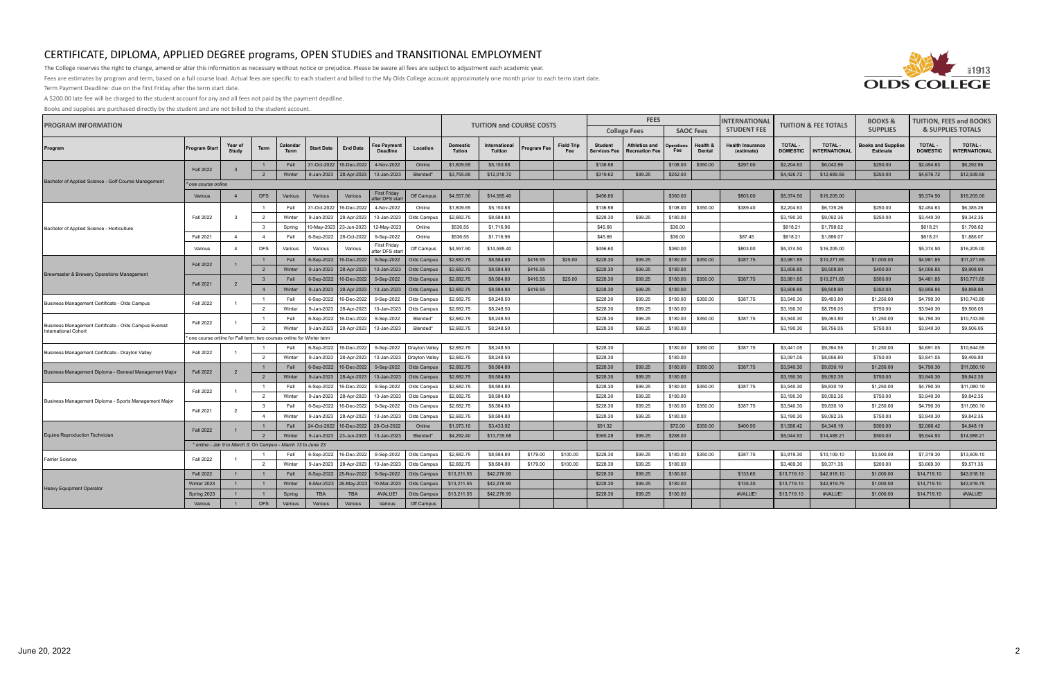

The College reserves the right to change, amend or alter this information as necessary without notice or prejudice. Please be aware all fees are subject to adjustment each academic year.

Fees are estimates by program and term, based on a full course load. Actual fees are specific to each student and billed to the My Olds College account approximately one month prior to each term start date.

Term Payment Deadline: due on the first Friday after the term start date.

A \$200.00 late fee will be charged to the student account for any and all fees not paid by the payment deadline.

| <b>PROGRAM INFORMATION</b>                                                           |                                                                     |                  | <b>TUITION and COURSE COSTS</b>  |                         | <b>FEES</b>       |                                                  |                                        | <b>INTERNATIONAL</b>       | <b>TUITION &amp; FEE TOTALS</b> |                            | <b>BOOKS &amp;</b>   | <b>TUITION, FEES and BOOKS</b> |                                |                                               |                      |                           |                                       |                            |                                       |                                              |                                  |                              |
|--------------------------------------------------------------------------------------|---------------------------------------------------------------------|------------------|----------------------------------|-------------------------|-------------------|--------------------------------------------------|----------------------------------------|----------------------------|---------------------------------|----------------------------|----------------------|--------------------------------|--------------------------------|-----------------------------------------------|----------------------|---------------------------|---------------------------------------|----------------------------|---------------------------------------|----------------------------------------------|----------------------------------|------------------------------|
|                                                                                      |                                                                     |                  |                                  |                         |                   |                                                  |                                        |                            |                                 |                            |                      |                                |                                | <b>College Fees</b>                           |                      | <b>SAOC Fees</b>          | <b>STUDENT FEE</b>                    |                            |                                       | <b>SUPPLIES</b>                              |                                  | <b>&amp; SUPPLIES TOTALS</b> |
| Program                                                                              | <b>Program Start</b>                                                | Year of<br>Study | <b>Term</b>                      | Calendar<br><b>Term</b> | <b>Start Date</b> | <b>End Date</b>                                  | <b>Fee Payment</b><br><b>Deadline</b>  | Location                   | <b>Domestic</b><br>Tution       | International<br>Tuition   | Program Fee          | <b>Field Trip</b><br>Fee       | <b>Student</b><br>Services Fee | <b>Athletics and</b><br><b>Recreation Fee</b> | Operations<br>Fee    | Health &<br><b>Dental</b> | <b>Health Insurance</b><br>(estimate) | TOTAL -<br><b>DOMESTIC</b> | <b>TOTAL -</b><br><b>NTERNATIONAL</b> | <b>Books and Supplies</b><br><b>Estimate</b> | <b>TOTAL-</b><br><b>DOMESTIC</b> | TOTAL -<br>NTERNATIONAL      |
|                                                                                      | <b>Fall 2022</b>                                                    | $\overline{3}$   | $\overline{1}$                   | Fall                    |                   | 31-Oct-2022 16-Dec-2022                          | 4-Nov-2022                             | Online                     | \$1,609.65                      | \$5,150.88                 |                      |                                | \$136.98                       |                                               | \$108.00             | \$350.00                  | \$297.00                              | \$2,204.63                 | \$6,042.86                            | \$250.00                                     | \$2,454.63                       | \$6,292.86                   |
|                                                                                      |                                                                     |                  | $\overline{2}$                   | Winter                  |                   | 9-Jan-2023   28-Apr-2023                         | 13-Jan-2023                            | Blended*                   | \$3,755.85                      | \$12,018.72                |                      |                                | \$319.62                       | \$99.25                                       | \$252.00             |                           |                                       | \$4,426.72                 | \$12,689.59                           | \$250.00                                     | \$4,676.72                       | \$12,939.59                  |
| Bachelor of Applied Science - Golf Course Management                                 | <i>'one course online</i>                                           |                  |                                  |                         |                   |                                                  |                                        |                            |                                 |                            |                      |                                |                                |                                               |                      |                           |                                       |                            |                                       |                                              |                                  |                              |
|                                                                                      | Various                                                             | $\overline{4}$   | <b>DFS</b>                       | Various                 | Various           | Various                                          | <b>First Friday</b><br>after DFS start | Off Campus                 | \$4,557.90                      | \$14,585.40                |                      |                                | \$456.60                       |                                               | \$360.00             |                           | \$803.00                              | \$5,374.50                 | \$16,205.00                           |                                              | \$5,374.50                       | \$16,205.00                  |
|                                                                                      |                                                                     |                  |                                  | Fall                    | 31-Oct-2022       | 16-Dec-2022                                      | 4-Nov-2022                             | Online                     | \$1,609.65                      | \$5,150.88                 |                      |                                | \$136.98                       |                                               | \$108.00             | \$350.00                  | \$389.40                              | \$2,204.63                 | \$6,135.26                            | \$250.00                                     | \$2,454.63                       | \$6,385.26                   |
|                                                                                      | <b>Fall 2022</b>                                                    | $\mathbf{3}$     | $\overline{2}$                   | Winter                  | 9-Jan-2023        | 28-Apr-2023                                      | 13-Jan-2023                            | Olds Campus                | \$2,682.75                      | \$8,584.80                 |                      |                                | \$228.30                       | \$99.25                                       | \$180.00             |                           |                                       | \$3,190.30                 | \$9,092.35                            | \$250.00                                     | \$3,440.30                       | \$9,342.35                   |
| Bachelor of Applied Science - Horticulture                                           |                                                                     |                  | $_{3}$                           | Spring                  | 0-May-2023        | 23-Jun-2023                                      | 12-May-2023                            | Online                     | \$536.55                        | \$1,716.96                 |                      |                                | \$45.66                        |                                               | \$36.00              |                           |                                       | \$618.21                   | \$1,798.62                            |                                              | \$618.21                         | \$1,798.62                   |
|                                                                                      | <b>Fall 2021</b>                                                    | $\overline{4}$   | $\overline{4}$                   | Fall                    | 6-Sep-2022        | 28-Oct-2022                                      | 9-Sep-2022                             | Online                     | \$536.55                        | \$1,716.96                 |                      |                                | \$45.66                        |                                               | \$36.00              |                           | \$87.45                               | \$618.21                   | \$1,886.07                            |                                              | \$618.21                         | \$1,886.07                   |
|                                                                                      | Various                                                             | $\overline{4}$   | <b>DFS</b>                       | Various                 | Various           | Various                                          | First Friday<br>after DFS start        | Off Campus                 | \$4,557.90                      | \$14,585.40                |                      |                                | \$456.60                       |                                               | \$360.00             |                           | \$803.00                              | \$5,374.50                 | \$16,205.00                           |                                              | \$5,374.50                       | \$16,205.00                  |
|                                                                                      | <b>Fall 2022</b>                                                    |                  | $\overline{1}$                   | Fall                    | 6-Sep-2022        | 16-Dec-2022                                      | 9-Sep-2022                             | Olds Campus                | \$2,682.75                      | \$8,584.80                 | \$416.55             | \$25.00                        | \$228.30                       | \$99.25                                       | \$180.00             | \$350.00                  | \$387.75                              | \$3,981.85                 | \$10,271.65                           | \$1,000.00                                   | \$4,981.85                       | \$11,271.65                  |
| Brewmaster & Brewery Operations Management                                           |                                                                     |                  | $\overline{2}$                   | Winter                  | 9-Jan-2023        | 28-Apr-2023                                      | 13-Jan-2023                            | Olds Campus                | \$2,682.75                      | \$8,584.80                 | \$416.55             |                                | \$228.30                       | \$99.25                                       | \$180.00             |                           |                                       | \$3,606.85                 | \$9,508.90                            | \$400.00                                     | \$4,006.85                       | \$9,908.90                   |
|                                                                                      | <b>Fall 2021</b>                                                    | $\overline{2}$   | $\overline{\mathbf{3}}$          | Fall                    | 6-Sep-2022        | 16-Dec-2022                                      | 9-Sep-2022                             | Olds Campus                | \$2,682.75                      | \$8,584.80                 | \$416.55             | \$25.00                        | \$228.30                       | \$99.25                                       | \$180.00             | \$350.00                  | \$387.75                              | \$3,981.85                 | \$10,271.65                           | \$500.00                                     | \$4,481.85                       | \$10,771.65                  |
|                                                                                      |                                                                     |                  | $\overline{4}$                   | Winter                  | 9-Jan-2023        | 28-Apr-2023                                      | 13-Jan-2023                            | Olds Campus                | \$2,682.75                      | \$8,584.80                 | \$416.55             |                                | \$228.30                       | \$99.25                                       | \$180.00             |                           |                                       | \$3,606.85                 | \$9,508.90                            | \$350.00                                     | \$3,956.85                       | \$9,858.90                   |
| Business Management Certificate - Olds Campus                                        | <b>Fall 2022</b>                                                    | $\overline{1}$   |                                  | Fall                    | 6-Sep-2022        | 16-Dec-2022                                      | 9-Sep-2022                             | Olds Campus                | \$2,682.75                      | \$8,248.50                 |                      |                                | \$228.30                       | \$99.25                                       | \$180.00             | \$350.00                  | \$387.75                              | \$3,540.30                 | \$9,493.80                            | \$1,250.00                                   | \$4,790.30                       | \$10,743.80                  |
|                                                                                      |                                                                     |                  | $\overline{2}$                   | Winter                  | 9-Jan-2023        | 28-Apr-2023                                      | 13-Jan-2023                            | Olds Campus                | \$2,682.75                      | \$8,248.50                 |                      |                                | \$228.30                       | \$99.25                                       | \$180.00             |                           |                                       | \$3,190.30                 | \$8,756.05                            | \$750.00                                     | \$3,940.30                       | \$9,506.05                   |
|                                                                                      | <b>Fall 2022</b>                                                    | $\overline{1}$   |                                  | Fall                    | 6-Sep-2022        | 16-Dec-2022                                      | 9-Sep-2022                             | Blended*                   | \$2,682.75                      | \$8,248.50                 |                      |                                | \$228.30                       | \$99.25                                       | \$180.00             | \$350.00                  | \$387.75                              | \$3,540.30                 | \$9,493.80                            | \$1,250.00                                   | \$4,790.30                       | \$10,743.80                  |
| Business Management Certificate - Olds Campus Everest<br><b>International Cohort</b> |                                                                     |                  | $\overline{2}$                   | Winter                  | 9-Jan-2023        | 28-Apr-2023                                      | 13-Jan-2023                            | Blended*                   | \$2,682.75                      | \$8,248.50                 |                      |                                | \$228.30                       | \$99.25                                       | \$180.00             |                           |                                       | \$3,190.30                 | \$8,756.05                            | \$750.00                                     | \$3,940.30                       | \$9,506.05                   |
|                                                                                      | one course online for Fall term; two courses online for Winter term |                  |                                  |                         |                   |                                                  |                                        |                            |                                 |                            |                      |                                |                                |                                               |                      |                           |                                       |                            |                                       |                                              |                                  |                              |
| Business Management Certificate - Drayton Valley                                     | <b>Fall 2022</b>                                                    | - 1              |                                  | Fall                    | 6-Sep-2022        | 16-Dec-2022                                      | 9-Sep-2022                             | Drayton Valley             | \$2,682.75                      | \$8,248.50                 |                      |                                | \$228.30                       |                                               | \$180.00             | \$350.00                  | \$387.75                              | \$3,441.05                 | \$9,394.55                            | \$1,250.00                                   | \$4,691.05                       | \$10,644.55                  |
|                                                                                      |                                                                     |                  | $\overline{2}$                   | Winter                  | 9-Jan-2023        | 28-Apr-2023                                      | 13-Jan-2023                            | Drayton Valley             | \$2,682.75                      | \$8,248.50                 |                      |                                | \$228.30                       |                                               | \$180.00             |                           |                                       | \$3,091.05                 | \$8,656.80                            | \$750.00                                     | \$3,841.05                       | \$9,406.80                   |
| Business Management Diploma - General Management Major                               | <b>Fall 2022</b>                                                    | $\overline{2}$   |                                  | Fall                    | 6-Sep-2022        | 16-Dec-2022                                      | 9-Sep-2022                             | Olds Campus                | \$2,682.75                      | \$8,584.80                 |                      |                                | \$228.30                       | \$99.25                                       | \$180.00             | \$350.00                  | \$387.75                              | \$3,540,30                 | \$9,830.10                            | \$1,250.00                                   | \$4,790.30                       | \$11,080.10                  |
|                                                                                      |                                                                     |                  | $\overline{2}$                   | Winter                  | 9-Jan-2023        | 28-Apr-2023                                      | 13-Jan-2023                            | Olds Campus                | \$2,682.75                      | \$8,584.80                 |                      |                                | \$228.30                       | \$99.25                                       | \$180.00             |                           |                                       | \$3,190.30                 | \$9,092.35                            | \$750.00                                     | \$3,940.30                       | \$9,842,35                   |
|                                                                                      | <b>Fall 2022</b>                                                    | $\overline{1}$   | $\overline{1}$                   | Fall                    | 6-Sep-2022        | 16-Dec-2022                                      | 9-Sep-2022                             | Olds Campus                | \$2,682.75                      | \$8,584.80                 |                      |                                | \$228.30                       | \$99.25                                       | \$180.00             | \$350.00                  | \$387.75                              | \$3.540.30                 | \$9,830.10                            | \$1,250.00                                   | \$4,790.30                       | \$11,080.10                  |
| Business Management Diploma - Sports Management Major                                |                                                                     |                  | $\overline{2}$                   | Winter                  | 9-Jan-2023        | 28-Apr-2023                                      | 13-Jan-2023                            | Olds Campus                | \$2,682.75                      | \$8,584.80                 |                      |                                | \$228.30                       | \$99.25                                       | \$180.00             |                           |                                       | \$3,190.30                 | \$9,092.35                            | \$750.00                                     | \$3,940.30                       | \$9,842.35                   |
|                                                                                      | <b>Fall 2021</b>                                                    | $\overline{2}$   | $\overline{\mathbf{3}}$          | Fall                    | 6-Sep-2022        | 16-Dec-2022                                      | 9-Sep-2022                             | Olds Campus                | \$2,682.75                      | \$8,584.80                 |                      |                                | \$228.30                       | \$99.25                                       | \$180.00             | \$350.00                  | \$387.75                              | \$3,540.30                 | \$9,830.10                            | \$1,250.00                                   | \$4,790.30                       | \$11,080.10                  |
|                                                                                      |                                                                     |                  | $\overline{4}$                   | Winter                  | 9-Jan-2023        | 28-Apr-2023                                      | 13-Jan-2023                            | Olds Campus                | \$2,682.75                      | \$8,584.80                 |                      |                                | \$228.30                       | \$99.25                                       | \$180.00             |                           |                                       | \$3,190.30                 | \$9,092.35                            | \$750.00                                     | \$3,940.30                       | \$9,842.35                   |
|                                                                                      | <b>Fall 2022</b>                                                    |                  | $\mathbf{1}$                     | Fall                    | 24-Oct-2022       | 16-Dec-2022                                      | 28-Oct-2022                            | Online                     | \$1,073.10                      | \$3,433.92                 |                      |                                | \$91.32                        |                                               | \$72.00              | \$350.00                  | \$400.95                              | \$1,586.42                 | \$4,348.19                            | \$500.00                                     | \$2,086.42                       | \$4,848.19                   |
| Equine Reproduction Technician                                                       |                                                                     |                  |                                  | Winter                  | 9-Jan-2023        |                                                  | 23-Jun-2023   13-Jan-2023              | Blended*                   | \$4,292.40                      | \$13,735.68                |                      |                                | \$365.28                       | \$99.25                                       | \$288.00             |                           |                                       | \$5,044.93                 | \$14,488.21                           | \$500.00                                     | \$5,544.93                       | \$14,988.21                  |
|                                                                                      | * online - Jan 9 to March 3; On Campus - March 13 to June 23        |                  |                                  |                         |                   |                                                  |                                        |                            |                                 |                            |                      |                                |                                |                                               |                      |                           |                                       |                            |                                       |                                              |                                  |                              |
| <b>Farrier Science</b>                                                               | <b>Fall 2022</b>                                                    |                  |                                  | Fall                    | 6-Sep-2022        | 16-Dec-2022                                      | 9-Sep-2022                             | Olds Campus                | \$2,682.75                      | \$8,584.80                 | \$179.00<br>\$179.00 | \$100.00                       | \$228.30                       | \$99.25<br>\$99.25                            | \$180.00             | \$350.00                  | \$387.75                              | \$3,819,30<br>\$3,469.30   | \$10,109.10<br>\$9.371.35             | \$3,500.00<br>\$200.00                       | \$7,319.30                       | \$13,609.10<br>\$9,571,35    |
|                                                                                      | <b>Fall 2022</b>                                                    | $\overline{1}$   | $\overline{2}$<br>$\overline{1}$ | Winter<br>Fall          | 9-Jan-2023        | 28-Apr-2023                                      | 13-Jan-2023                            | Olds Campus                | \$2,682.75                      | \$8,584.80                 |                      | \$100.00                       | \$228.30                       |                                               | \$180.00             |                           | \$133.65                              |                            |                                       |                                              | \$3,669.30                       |                              |
|                                                                                      | Winter 2023                                                         | $\overline{1}$   | $\overline{1}$                   | Winter                  |                   | 6-Sep-2022 25-Nov-2022<br>6-Mar-2023 26-May-2023 | 9-Sep-2022<br>10-Mar-2023              | Olds Campus<br>Olds Campus | \$13,211.55<br>\$13,211.55      | \$42,276.90<br>\$42,276.90 |                      |                                | \$228.30<br>\$228.30           | \$99.25<br>\$99.25                            | \$180.00<br>\$180.00 |                           | \$135.30                              | \$13,719.10<br>\$13,719.10 | \$42,918.10<br>\$42,919.75            | \$1,000.00<br>\$1,000.00                     | \$14,719.10<br>\$14,719.10       | \$43,918.10<br>\$43,919.75   |
| <b>Heavy Equipment Operator</b>                                                      | Spring 2023                                                         |                  |                                  | Spring                  | <b>TBA</b>        | <b>TBA</b>                                       | #VALUE!                                | Olds Campus                | \$13,211.55                     | \$42,276.90                |                      |                                | \$228.30                       | \$99.25                                       | \$180.00             |                           | #VALUE!                               | \$13,719.10                | #VALUE!                               | \$1,000.00                                   | \$14,719.10                      | #VALUE!                      |
|                                                                                      | Various                                                             |                  | <b>DFS</b>                       | Various                 | Various           | Various                                          | Various                                | Off Campus                 |                                 |                            |                      |                                |                                |                                               |                      |                           |                                       |                            |                                       |                                              |                                  |                              |
|                                                                                      |                                                                     |                  |                                  |                         |                   |                                                  |                                        |                            |                                 |                            |                      |                                |                                |                                               |                      |                           |                                       |                            |                                       |                                              |                                  |                              |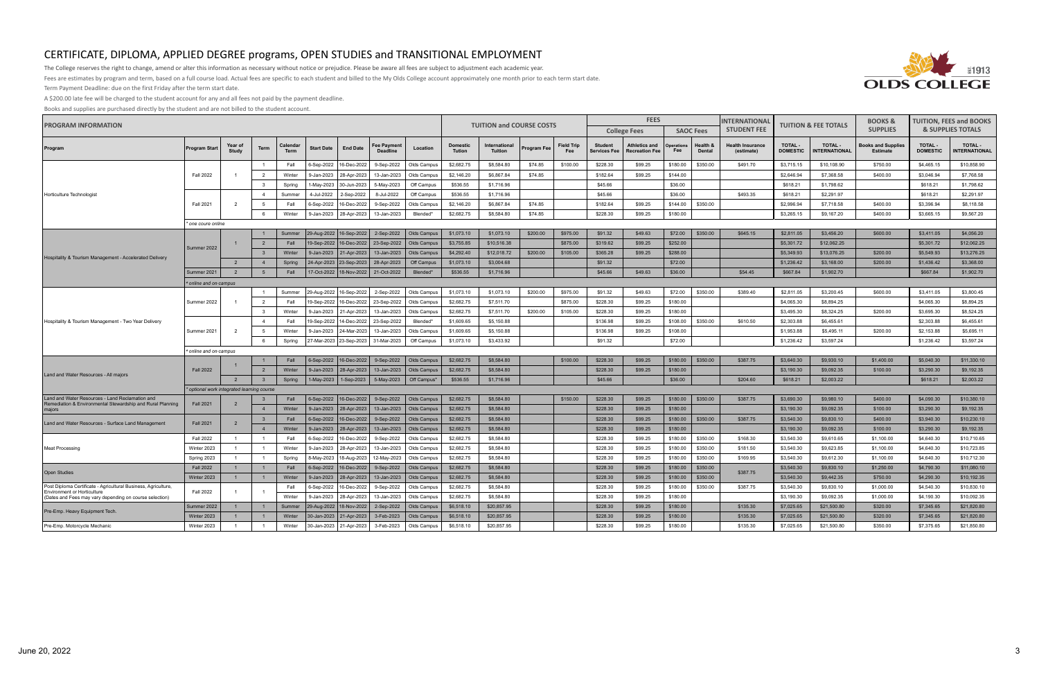

The College reserves the right to change, amend or alter this information as necessary without notice or prejudice. Please be aware all fees are subject to adjustment each academic year.

Fees are estimates by program and term, based on a full course load. Actual fees are specific to each student and billed to the My Olds College account approximately one month prior to each term start date.

Term Payment Deadline: due on the first Friday after the term start date.

A \$200.00 late fee will be charged to the student account for any and all fees not paid by the payment deadline.

| <b>PROGRAM INFORMATION</b>                                                                                    |                                            |                         | <b>TUITION and COURSE COSTS</b> |                         | <b>FEES</b>       |                                         |                                         | <b>INTERNATIONAL</b> | <b>TUITION &amp; FEE TOTALS</b>  |                                 | <b>BOOKS &amp;</b> | <b>TUITION, FEES and BOOKS</b> |                                |                                               |                          |                           |                                       |                            |                                        |                                              |                                  |                                       |
|---------------------------------------------------------------------------------------------------------------|--------------------------------------------|-------------------------|---------------------------------|-------------------------|-------------------|-----------------------------------------|-----------------------------------------|----------------------|----------------------------------|---------------------------------|--------------------|--------------------------------|--------------------------------|-----------------------------------------------|--------------------------|---------------------------|---------------------------------------|----------------------------|----------------------------------------|----------------------------------------------|----------------------------------|---------------------------------------|
|                                                                                                               |                                            |                         |                                 |                         |                   |                                         |                                         |                      |                                  |                                 |                    |                                |                                | <b>College Fees</b>                           |                          | <b>SAOC Fees</b>          | <b>STUDENT FEE</b>                    |                            |                                        | <b>SUPPLIES</b>                              | <b>&amp; SUPPLIES TOTALS</b>     |                                       |
| Program                                                                                                       | <b>Program Start</b>                       | Year of<br><b>Study</b> | Term                            | Calendar<br><b>Term</b> | <b>Start Date</b> | <b>End Date</b>                         | ee Payment<br><b>Deadline</b>           | Location             | <b>Domestic</b><br><b>Tution</b> | International<br><b>Tuition</b> | Program Fee        | <b>Field Trip</b><br>Fee       | <b>Student</b><br>Services Fee | <b>Athletics and</b><br><b>Recreation Fee</b> | <b>Operations</b><br>Fee | Health &<br><b>Dental</b> | <b>Health Insurance</b><br>(estimate) | TOTAL -<br><b>DOMESTIC</b> | <b>TOTAL -</b><br><b>INTERNATIONAL</b> | <b>Books and Supplies</b><br><b>Estimate</b> | <b>TOTAL-</b><br><b>DOMESTIC</b> | <b>TOTAL -</b><br><b>NTERNATIONAL</b> |
|                                                                                                               |                                            |                         | -1                              | Fall                    | 6-Sep-2022        | 16-Dec-2022                             | 9-Sep-2022                              | Olds Campus          | \$2,682.75                       | \$8,584.80                      | \$74.85            | \$100.00                       | \$228.30                       | \$99.25                                       | \$180.00                 | \$350.00                  | \$491.70                              | \$3,715.15                 | \$10,108.90                            | \$750.00                                     | \$4,465.15                       | \$10,858.90                           |
|                                                                                                               | <b>Fall 2022</b>                           |                         | $\overline{2}$                  | Winter                  | 9-Jan-2023        | 28-Apr-2023                             | 13-Jan-2023                             | Olds Campus          | \$2,146.20                       | \$6,867.84                      | \$74.85            |                                | \$182.64                       | \$99.25                                       | \$144.00                 |                           |                                       | \$2,646.94                 | \$7,368.58                             | \$400.00                                     | \$3,046.94                       | \$7,768.58                            |
|                                                                                                               |                                            |                         | $\overline{\mathbf{3}}$         | Spring                  | 1-May-2023        | 30-Jun-2023                             | 5-May-2023                              | Off Campus           | \$536.55                         | \$1,716.96                      |                    |                                | \$45.66                        |                                               | \$36.00                  |                           |                                       | \$618.21                   | \$1,798.62                             |                                              | \$618.21                         | \$1,798.62                            |
| Horticulture Technologist                                                                                     |                                            |                         | $\overline{4}$                  | Summer                  | 4-Jul-2022        | 2-Sep-2022                              | 8-Jul-2022                              | Off Campus           | \$536.55                         | \$1,716.96                      |                    |                                | \$45.66                        |                                               | \$36.00                  |                           | \$493.35                              | \$618.21                   | \$2,291.97                             |                                              | \$618.21                         | \$2,291.97                            |
|                                                                                                               | <b>Fall 2021</b>                           | $\overline{2}$          | 5                               | Fall                    | 6-Sep-2022        | 16-Dec-2022                             | 9-Sep-2022                              | Olds Campus          | \$2,146.20                       | \$6,867.84                      | \$74.85            |                                | \$182.64                       | \$99.25                                       | \$144.00                 | \$350.00                  |                                       | \$2,996.94                 | \$7,718.58                             | \$400.00                                     | \$3,396.94                       | \$8,118.58                            |
|                                                                                                               |                                            |                         | 6                               | Winter                  | 9-Jan-2023        | 28-Apr-2023                             | 13-Jan-2023                             | Blended*             | \$2,682.75                       | \$8,584.80                      | \$74.85            |                                | \$228.30                       | \$99.25                                       | \$180.00                 |                           |                                       | \$3,265.15                 | \$9,167.20                             | \$400.00                                     | \$3,665.15                       | \$9,567.20                            |
|                                                                                                               | * one coure online                         |                         |                                 |                         |                   |                                         |                                         |                      |                                  |                                 |                    |                                |                                |                                               |                          |                           |                                       |                            |                                        |                                              |                                  |                                       |
|                                                                                                               |                                            |                         | $\overline{1}$                  | Summer                  |                   |                                         | 29-Aug-2022   16-Sep-2022   2-Sep-2022  | Olds Campus          | \$1,073.10                       | \$1,073.10                      | \$200.00           | \$975.00                       | \$91.32                        | \$49.63                                       | \$72.00                  | \$350.00                  | \$645.15                              | \$2,811.05                 | \$3,456.20                             | \$600.00                                     | \$3,411.05                       | \$4,056.20                            |
|                                                                                                               | Summer 2022                                |                         | $\overline{2}$                  | Fall                    |                   |                                         | 19-Sep-2022   16-Dec-2022   23-Sep-2022 | Olds Campus          | \$3,755.85                       | \$10,516.38                     |                    | \$875.00                       | \$319.62                       | \$99.25                                       | \$252.00                 |                           |                                       | \$5,301.72                 | \$12,062.25                            |                                              | \$5,301.72                       | \$12,062.25                           |
| Hospitality & Tourism Management - Accelerated Delivery                                                       |                                            |                         | $\overline{\mathbf{3}}$         | Winter                  | 9-Jan-2023        | 21-Apr-2023                             | 13-Jan-2023                             | Olds Campus          | \$4,292.40                       | \$12,018.72                     | \$200.00           | \$105.00                       | \$365.28                       | \$99.25                                       | \$288.00                 |                           |                                       | \$5,349.93                 | \$13,076.25                            | \$200.00                                     | \$5,549.93                       | \$13,276.25                           |
|                                                                                                               |                                            | $\overline{2}$          | $\overline{4}$                  | Spring                  |                   | 24-Apr-2023   23-Sep-2023               | 28-Apr-2023                             | Off Campus           | \$1,073.10                       | \$3,004.68                      |                    |                                | \$91.32                        |                                               | \$72.00                  |                           |                                       | \$1,236.42                 | \$3,168.00                             | \$200.00                                     | \$1,436.42                       | \$3,368.00                            |
|                                                                                                               | Summer 2021                                | $\overline{2}$          | 5                               | Fall                    |                   | 17-Oct-2022   18-Nov-2022   21-Oct-2022 |                                         | Blended*             | \$536.55                         | \$1,716.96                      |                    |                                | \$45.66                        | \$49.63                                       | \$36.00                  |                           | \$54.45                               | \$667.84                   | \$1,902.70                             |                                              | \$667.84                         | \$1,902.70                            |
|                                                                                                               | * online and on-campus                     |                         |                                 |                         |                   |                                         |                                         |                      |                                  |                                 |                    |                                |                                |                                               |                          |                           |                                       |                            |                                        |                                              |                                  |                                       |
|                                                                                                               |                                            |                         | $\overline{1}$                  | Summer                  |                   | 29-Aug-2022 16-Sep-2022                 | 2-Sep-2022                              | Olds Campus          | \$1,073.10                       | \$1,073.10                      | \$200.00           | \$975.00                       | \$91.32                        | \$49.63                                       | \$72.00                  | \$350.00                  | \$389.40                              | \$2,811.05                 | \$3,200.45                             | \$600.00                                     | \$3,411.05                       | \$3,800.45                            |
| Hospitality & Tourism Management - Two Year Delivery                                                          | Summer 2022                                |                         | $\overline{2}$                  | Fall                    | 19-Sep-2022       | 16-Dec-2022                             | 23-Sep-2022                             | Olds Campus          | \$2,682.75                       | \$7,511.70                      |                    | \$875.00                       | \$228.30                       | \$99.25                                       | \$180.00                 |                           |                                       | \$4,065.30                 | \$8,894.25                             |                                              | \$4,065.30                       | \$8,894.25                            |
|                                                                                                               |                                            |                         | $\overline{\mathbf{3}}$         | Winter                  | 9-Jan-2023        | 21-Apr-2023                             | 13-Jan-2023                             | Olds Campus          | \$2,682.75                       | \$7,511.70                      | \$200.00           | \$105.00                       | \$228.30                       | \$99.25                                       | \$180.00                 |                           |                                       | \$3,495.30                 | \$8,324.25                             | \$200.00                                     | \$3,695.30                       | \$8,524.25                            |
|                                                                                                               |                                            |                         | $\overline{4}$                  | Fall                    | 19-Sep-2022       | 14-Dec-2022                             | 23-Sep-2022                             | Blended*             | \$1,609.65                       | \$5,150.88                      |                    |                                | \$136.98                       | \$99.25                                       | \$108.00                 | \$350.00                  | \$610.50                              | \$2,303.88                 | \$6,455.61                             |                                              | \$2,303.88                       | \$6,455.61                            |
|                                                                                                               | Summer 2021                                | 2                       | 5                               | Winter                  | 9-Jan-2023        | 24-Mar-2023                             | 13-Jan-2023                             | Olds Campus          | \$1,609.65                       | \$5,150.88                      |                    |                                | \$136.98                       | \$99.25                                       | \$108.00                 |                           |                                       | \$1,953.88                 | \$5,495.11                             | \$200.00                                     | \$2,153.88                       | \$5,695.11                            |
|                                                                                                               |                                            |                         | 6                               | Spring                  |                   | 27-Mar-2023 23-Sep-2023                 | 31-Mar-2023                             | Off Campus           | \$1,073.10                       | \$3,433.92                      |                    |                                | \$91.32                        |                                               | \$72.00                  |                           |                                       | \$1,236.42                 | \$3,597.24                             |                                              | \$1,236.42                       | \$3,597.24                            |
|                                                                                                               | online and on-campus                       |                         |                                 |                         |                   |                                         |                                         |                      |                                  |                                 |                    |                                |                                |                                               |                          |                           |                                       |                            |                                        |                                              |                                  |                                       |
|                                                                                                               |                                            |                         | $\overline{1}$                  | Fall                    |                   | 6-Sep-2022   16-Dec-2022                | 9-Sep-2022                              | Olds Campus          | \$2,682.75                       | \$8,584.80                      |                    | \$100.00                       | \$228.30                       | \$99.25                                       | \$180.00                 | \$350.00                  | \$387.75                              | \$3,640.30                 | \$9,930.10                             | \$1,400.00                                   | \$5,040.30                       | \$11,330.10                           |
| Land and Water Resources - All majors                                                                         | <b>Fall 2022</b>                           |                         | $\overline{2}$                  | Winter                  | 9-Jan-2023        | 28-Apr-2023                             | 13-Jan-2023                             | Olds Campus          | \$2,682.75                       | \$8,584.80                      |                    |                                | \$228.30                       | \$99.25                                       | \$180.00                 |                           |                                       | \$3,190.30                 | \$9,092.35                             | \$100.00                                     | \$3,290.30                       | \$9,192.35                            |
|                                                                                                               |                                            | $\overline{2}$          | $\overline{\mathbf{3}}$         | Spring                  |                   | 1-May-2023   1-Sep-2023                 | 5-May-2023                              | Off Campus*          | \$536.55                         | \$1,716.96                      |                    |                                | \$45.66                        |                                               | \$36.00                  |                           | \$204.60                              | \$618.21                   | \$2,003.22                             |                                              | \$618.21                         | \$2,003.22                            |
|                                                                                                               | * optional work integrated learning course |                         |                                 |                         |                   |                                         |                                         |                      |                                  |                                 |                    |                                |                                |                                               |                          |                           |                                       |                            |                                        |                                              |                                  |                                       |
| Land and Water Resources - Land Reclamation and<br>Remediation & Environmental Stewardship and Rural Planning | <b>Fall 2021</b>                           | $\overline{2}$          | $\overline{\mathbf{3}}$         | Fall                    |                   | 6-Sep-2022   16-Dec-2022                | 9-Sep-2022                              | Olds Campus          | \$2,682.75                       | \$8,584.80                      |                    | \$150.00                       | \$228.30                       | \$99.25                                       | \$180.00                 | \$350.00                  | \$387.75                              | \$3,690.30                 | \$9,980.10                             | \$400.00                                     | \$4,090.30                       | \$10,380.10                           |
| maiors                                                                                                        |                                            |                         | $\overline{4}$                  | Winter                  | 9-Jan-2023        | 28-Apr-2023                             | 13-Jan-2023                             | Olds Campus          | \$2,682.75                       | \$8,584.80                      |                    |                                | \$228.30                       | \$99.25                                       | \$180.00                 |                           |                                       | \$3,190.30                 | \$9,092.35                             | \$100.00                                     | \$3,290.30                       | \$9,192,35                            |
| Land and Water Resources - Surface Land Management                                                            | <b>Fall 2021</b>                           | $\overline{2}$          | $\overline{\mathbf{3}}$         | Fall                    | 6-Sep-2022        | 16-Dec-2022                             | 9-Sep-2022                              | Olds Campus          | \$2,682.75                       | \$8,584.80                      |                    |                                | \$228.30                       | \$99.25                                       | \$180.00                 | \$350.00                  | \$387.75                              | \$3,540.30                 | \$9,830.10                             | \$400.00                                     | \$3,940.30                       | \$10,230.10                           |
|                                                                                                               |                                            |                         | $\overline{4}$                  | Winter                  | 9-Jan-2023        | 28-Apr-2023                             | 13-Jan-2023                             | Olds Campus          | \$2,682.75                       | \$8,584.80                      |                    |                                | \$228.30                       | \$99.25                                       | \$180.00                 |                           |                                       | \$3,190.30                 | \$9,092.35                             | \$100.00                                     | \$3,290.30                       | \$9,192.35                            |
|                                                                                                               | <b>Fall 2022</b>                           | $\overline{1}$          | -1                              | Fall                    | 6-Sep-2022        | 16-Dec-2022                             | 9-Sep-2022                              | Olds Campus          | \$2,682.75                       | \$8,584.80                      |                    |                                | \$228.30                       | \$99.25                                       | \$180.00                 | \$350.00                  | \$168.30                              | \$3,540.30                 | \$9,610.65                             | \$1,100.00                                   | \$4,640.30                       | \$10,710.65                           |
| <b>Meat Processing</b>                                                                                        | Winter 2023                                | $\overline{1}$          |                                 | Winter                  | 9-Jan-2023        | 28-Apr-2023                             | 13-Jan-2023                             | Olds Campus          | \$2,682.75                       | \$8,584.80                      |                    |                                | \$228.30                       | \$99.25                                       | \$180.00                 | \$350.00                  | \$181.50                              | \$3,540.30                 | \$9,623.85                             | \$1,100.00                                   | \$4,640.30                       | \$10,723.85                           |
|                                                                                                               | Spring 2023                                | $\overline{1}$          | $\overline{1}$                  | Spring                  | 8-May-2023        | 18-Aug-2023                             | 12-May-2023                             | Olds Campus          | \$2,682.75                       | \$8,584.80                      |                    |                                | \$228.30                       | \$99.25                                       | \$180.00                 | \$350.00                  | \$169.95                              | \$3,540.30                 | \$9,612.30                             | \$1,100.00                                   | \$4,640.30                       | \$10,712.30                           |
| <b>Open Studies</b>                                                                                           | <b>Fall 2022</b>                           | $\overline{1}$          | $\overline{1}$                  | Fall                    | 6-Sep-2022        | 16-Dec-2022                             | 9-Sep-2022                              | Olds Campus          | \$2,682.75                       | \$8,584.80                      |                    |                                | \$228.30                       | \$99.25                                       | \$180.00                 | \$350.00                  | \$387.75                              | \$3,540.30                 | \$9,830.10                             | \$1,250.00                                   | \$4,790.30                       | \$11,080.10                           |
|                                                                                                               | Winter 2023                                | $\overline{1}$          | $\overline{1}$                  | Winter                  | 9-Jan-2023        | 28-Apr-2023                             | 13-Jan-2023                             | Olds Campus          | \$2,682.75                       | \$8,584.80                      |                    |                                | \$228.30                       | \$99.25                                       | \$180.00                 | \$350.00                  |                                       | \$3,540.30                 | \$9,442.35                             | \$750.00                                     | \$4,290.30                       | \$10,192.35                           |
| Post Diploma Certificate - Agricultural Business, Agriculture,<br><b>Environment or Horticulture</b>          | <b>Fall 2022</b>                           | $\overline{1}$          |                                 | Fall                    | 6-Sep-2022        | 16-Dec-202                              | 9-Sep-2022                              | Olds Campus          | \$2,682.75                       | \$8,584.80                      |                    |                                | \$228.30                       | \$99.25                                       | \$180.00                 | \$350.00                  | \$387.75                              | \$3,540.30                 | \$9,830.10                             | \$1,000.00                                   | \$4,540.30                       | \$10,830.10                           |
| (Dates and Fees may vary depending on course selection)                                                       |                                            |                         |                                 | Winter                  | 9-Jan-2023        | 28-Apr-2023                             | 13-Jan-2023                             | Olds Campus          | \$2,682.75                       | \$8,584.80                      |                    |                                | \$228.30                       | \$99.25                                       | \$180.00                 |                           |                                       | \$3,190.30                 | \$9,092.35                             | \$1,000.00                                   | \$4,190.30                       | \$10,092.35                           |
| Pre-Emp. Heavy Equipment Tech                                                                                 | Summer 2022                                | $\overline{1}$          | $\overline{1}$                  | Summer                  | 29-Aug-2022       | 18-Nov-2022                             | 2-Sep-2022                              | Olds Campus          | \$6,518.10                       | \$20,857.95                     |                    |                                | \$228.30                       | \$99.25                                       | \$180.00                 |                           | \$135.30                              | \$7,025.65                 | \$21,500.80                            | \$320.00                                     | \$7,345.65                       | \$21,820.80                           |
|                                                                                                               | Winter 2023                                | $\overline{1}$          | $\overline{1}$                  | Winter                  |                   | 30-Jan-2023   21-Apr-2023               | 3-Feb-2023                              | Olds Campus          | \$6,518.10                       | \$20,857.95                     |                    |                                | \$228.30                       | \$99.25                                       | \$180.00                 |                           | \$135.30                              | \$7,025.65                 | \$21,500.80                            | \$320.00                                     | \$7,345.65                       | \$21,820.80                           |
| Pre-Emp. Motorcycle Mechanic                                                                                  | Winter 2023                                | $\overline{1}$          |                                 | Winter                  | 30-Jan-2023       | 21-Apr-2023                             | 3-Feb-2023                              | Olds Campus          | \$6,518.10                       | \$20,857.95                     |                    |                                | \$228.30                       | \$99.25                                       | \$180.00                 |                           | \$135.30                              | \$7,025.65                 | \$21,500.80                            | \$350.00                                     | \$7,375.65                       | \$21,850.80                           |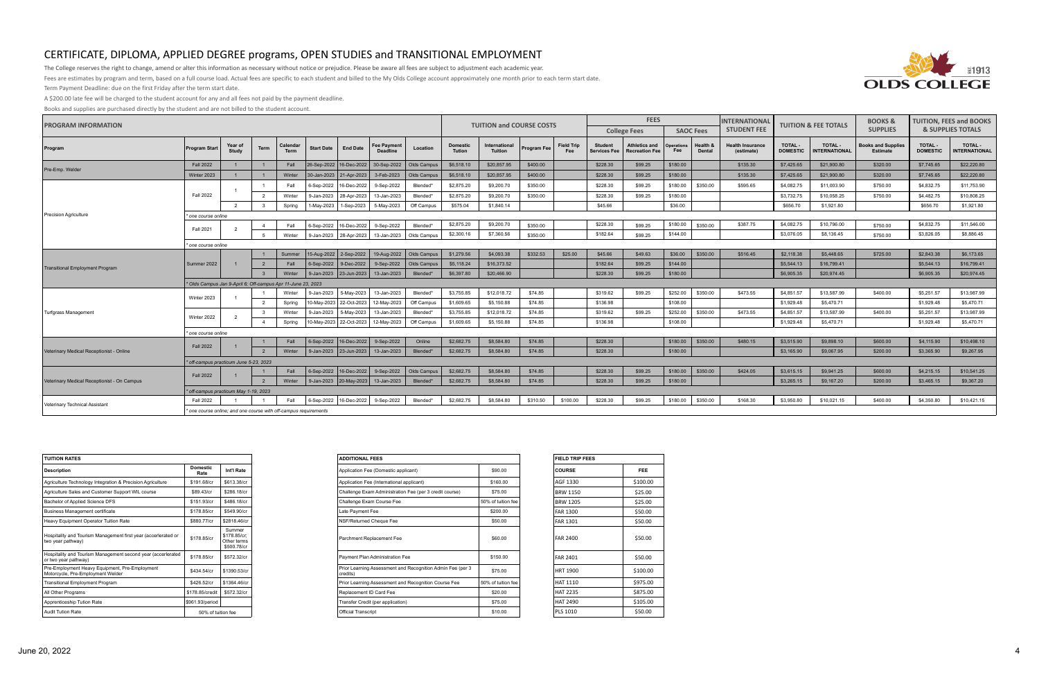

The College reserves the right to change, amend or alter this information as necessary without notice or prejudice. Please be aware all fees are subject to adjustment each academic year.

Fees are estimates by program and term, based on a full course load. Actual fees are specific to each student and billed to the My Olds College account approximately one month prior to each term start date.

Term Payment Deadline: due on the first Friday after the term start date.

A \$200.00 late fee will be charged to the student account for any and all fees not paid by the payment deadline.

| <b>PROGRAM INFORMATION</b>                  |                                                                                                                                                                                                                                                                                                                       |                                                                                                                                                 |                         |                         |                   |                                         |                                       |             |                           | <b>TUITION and COURSE COSTS</b> |                    |                          | <b>FEES</b>                           |                                               |                          |                    | <b>INTERNATIONAL</b>                  | <b>TUITION &amp; FEE TOTALS</b> |                                        | <b>BOOKS &amp;</b>                    |                           | <b>TUITION, FEES and BOOKS</b>         |
|---------------------------------------------|-----------------------------------------------------------------------------------------------------------------------------------------------------------------------------------------------------------------------------------------------------------------------------------------------------------------------|-------------------------------------------------------------------------------------------------------------------------------------------------|-------------------------|-------------------------|-------------------|-----------------------------------------|---------------------------------------|-------------|---------------------------|---------------------------------|--------------------|--------------------------|---------------------------------------|-----------------------------------------------|--------------------------|--------------------|---------------------------------------|---------------------------------|----------------------------------------|---------------------------------------|---------------------------|----------------------------------------|
|                                             |                                                                                                                                                                                                                                                                                                                       |                                                                                                                                                 |                         |                         |                   |                                         |                                       |             |                           |                                 |                    |                          |                                       | <b>College Fees</b>                           |                          | <b>SAOC Fees</b>   | <b>STUDENT FEE</b>                    |                                 |                                        | <b>SUPPLIES</b>                       |                           | <b>&amp; SUPPLIES TOTALS</b>           |
| Program                                     | <b>Program Start</b>                                                                                                                                                                                                                                                                                                  | Year of<br>Study                                                                                                                                | Term                    | Calendar<br><b>Term</b> | <b>Start Date</b> | <b>End Date</b>                         | <b>Fee Payment</b><br><b>Deadline</b> | Location    | <b>Domestic</b><br>Tution | International<br><b>Tuition</b> | Program Fee        | <b>Field Trip</b><br>Fee | <b>Student</b><br><b>Services Fee</b> | <b>Athletics and</b><br><b>Recreation Fee</b> | <b>Operations</b><br>Fee | Health &<br>Dental | <b>Health Insurance</b><br>(estimate) | TOTAL-<br><b>DOMESTIC</b>       | <b>TOTAL -</b><br><b>INTERNATIONAL</b> | <b>Books and Supplies</b><br>Estimate | TOTAL-<br><b>DOMESTIC</b> | <b>TOTAL -</b><br><b>INTERNATIONAL</b> |
| Pre-Emp. Welder                             | <b>Fall 2022</b>                                                                                                                                                                                                                                                                                                      |                                                                                                                                                 |                         | Fall                    |                   | 26-Sep-2022   16-Dec-2022   30-Sep-2022 |                                       | Olds Campu  | \$6,518.10                | \$20,857.95                     | \$400.00           |                          | \$228.30                              | \$99.25                                       | \$180.00                 |                    | \$135.30                              | \$7,425.65                      | \$21,900.80                            | \$320.00                              | \$7,745.65                | \$22,220.80                            |
|                                             | Winter 2023                                                                                                                                                                                                                                                                                                           |                                                                                                                                                 |                         | Winter                  |                   | 30-Jan-2023 21-Apr-2023 3-Feb-2023      |                                       | Olds Campus | \$6,518.10                | \$20,857.95                     | \$400.00           |                          | \$228.30                              | \$99.25                                       | \$180.00                 |                    | \$135.30                              | \$7,425.65                      | \$21,900.80                            | \$320.00                              | \$7,745.65                | \$22,220.80                            |
|                                             |                                                                                                                                                                                                                                                                                                                       |                                                                                                                                                 |                         | Fall                    | 6-Sep-2022        | 16-Dec-2022                             | 9-Sep-2022                            | Blended*    | \$2,875.20                | \$9,200.70                      | \$350.00           |                          | \$228.30                              | \$99.25                                       | \$180.00                 | \$350.00           | \$595.65                              | \$4,082.75                      | \$11,003.90                            | \$750.00                              | \$4,832.75                | \$11,753.90                            |
|                                             | <b>Fall 2022</b>                                                                                                                                                                                                                                                                                                      |                                                                                                                                                 | $\overline{2}$          | Winter                  | 9-Jan-2023        | 28-Apr-2023                             | 13-Jan-2023                           | Blended*    | \$2,875.20                | \$9,200.70                      | \$350.00           |                          | \$228.30                              | \$99.25                                       | \$180.00                 |                    |                                       | \$3,732.75                      | \$10,058.25                            | \$750.00                              | \$4,482.75                | \$10,808.25                            |
|                                             |                                                                                                                                                                                                                                                                                                                       | $\overline{2}$                                                                                                                                  |                         | Spring                  | 1-May-2023        | 1-Sep-2023                              | 5-May-2023                            | Off Campus  | \$575.04                  | \$1,840.14                      |                    |                          | \$45.66                               |                                               | \$36.00                  |                    |                                       | \$656.70                        | \$1,921.80                             |                                       | \$656.70                  | \$1,921.80                             |
| <b>Precision Agriculture</b>                | one course online                                                                                                                                                                                                                                                                                                     |                                                                                                                                                 |                         |                         |                   |                                         |                                       |             |                           |                                 |                    |                          |                                       |                                               |                          |                    |                                       |                                 |                                        |                                       |                           |                                        |
|                                             | <b>Fall 2021</b>                                                                                                                                                                                                                                                                                                      | $\overline{2}$                                                                                                                                  | $\overline{4}$          | Fall                    | 6-Sep-2022        | 16-Dec-2022                             | 9-Sep-2022                            | Blended*    | \$2,875.20                | \$9,200.70                      | \$350.00           |                          | \$228.30                              | \$99.25                                       | \$180.00                 | \$350.00           | \$387.75                              | \$4,082.75                      | \$10,796.00                            | \$750.00                              | \$4,832.75                | \$11,546.00                            |
|                                             |                                                                                                                                                                                                                                                                                                                       |                                                                                                                                                 | - 5                     | Winter                  |                   | 9-Jan-2023   28-Apr-2023                | 13-Jan-2023                           | Olds Campus | \$2,300.16                | \$7,360.56                      | \$350.00           |                          | \$182.64                              | \$99.25                                       | \$144.00                 |                    |                                       | \$3,076.05                      | \$8,136.45                             | \$750.00                              | \$3,826.05                | \$8,886.45                             |
|                                             |                                                                                                                                                                                                                                                                                                                       | * one course online<br>15-Aug-2022 2-Sep-2022 19-Aug-2022                                                                                       |                         |                         |                   |                                         |                                       |             |                           |                                 |                    |                          |                                       |                                               |                          |                    |                                       |                                 |                                        |                                       |                           |                                        |
|                                             |                                                                                                                                                                                                                                                                                                                       |                                                                                                                                                 |                         | Summer                  |                   |                                         |                                       | Olds Campus | \$1,279.56                | \$4,093.38                      | \$332.53           | \$25.00                  | \$45.66                               | \$49.63                                       | \$36.00                  | \$350.00           | \$516.45                              | \$2,118.38                      | \$5,448.65                             | \$725.00                              | \$2,843.38                | \$6,173.65                             |
| Transitional Employment Program             | Summer 2022                                                                                                                                                                                                                                                                                                           |                                                                                                                                                 |                         | Fall                    |                   | 6-Sep-2022 9-Dec-2022                   | 9-Sep-2022                            | Olds Campus | \$5,118.24                | \$16,373.52                     |                    |                          | \$182.64                              | \$99.25                                       | \$144.00                 |                    |                                       | \$5,544.13                      | \$16,799.41                            |                                       | \$5,544.13                | \$16,799.41                            |
|                                             |                                                                                                                                                                                                                                                                                                                       |                                                                                                                                                 |                         | Winter                  |                   | 9-Jan-2023 23-Jun-2023                  | 13-Jan-2023                           | Blended*    | \$6,397.80                | \$20,466.90                     |                    |                          | \$228.30                              | \$99.25                                       | \$180.00                 |                    |                                       | \$6,905.35                      | \$20,974.45                            |                                       | \$6,905.35                | \$20,974.45                            |
|                                             | * Olds Campus Jan 9-April 6; Off-campus Apr 11-June 23, 2023                                                                                                                                                                                                                                                          |                                                                                                                                                 |                         |                         |                   |                                         |                                       |             |                           |                                 |                    |                          |                                       |                                               |                          |                    |                                       |                                 |                                        |                                       |                           |                                        |
|                                             | Winter 2023                                                                                                                                                                                                                                                                                                           |                                                                                                                                                 |                         | Winter                  | 9-Jan-2023        | 5-May-2023                              | 13-Jan-2023                           | Blended*    | \$3,755.85                | \$12,018.72                     | \$74.85            |                          | \$319.62                              | \$99.25                                       | \$252.00                 | \$350.00           | \$473.55                              | \$4,851.57                      | \$13,587.99                            | \$400.00                              | \$5,251.57                | \$13,987.99                            |
|                                             |                                                                                                                                                                                                                                                                                                                       |                                                                                                                                                 | $\overline{2}$          | Spring                  |                   | 10-May-2023 22-Oct-2023 12-May-2023     |                                       | Off Campus  | \$1,609.65                | \$5,150.88                      | \$74.85            |                          | \$136.98                              |                                               | \$108.00                 |                    |                                       | \$1,929.48                      | \$5,470.71                             |                                       | \$1,929.48                | \$5,470.71                             |
| Turfgrass Management                        | Winter 2022                                                                                                                                                                                                                                                                                                           | $\overline{2}$                                                                                                                                  | $\overline{\mathbf{3}}$ | Winter                  | 9-Jan-2023        | 5-May-2023                              | 13-Jan-2023                           | Blended*    | \$3,755.85                | \$12,018.72                     | \$74.85            |                          | \$319.62                              | \$99.25                                       | \$252.00                 | \$350.00           | \$473.55                              | \$4,851.57                      | \$13,587.99                            | \$400.00                              | \$5,251.57                | \$13,987.99                            |
|                                             |                                                                                                                                                                                                                                                                                                                       | \$108.00<br>Spring<br>10-May-2023 22-Oct-2023<br>12-May-2023<br>Off Campus<br>\$1,609.65<br>\$5,150.88<br>\$74.85<br>\$136.98<br>$\overline{4}$ |                         |                         |                   |                                         |                                       |             |                           |                                 |                    |                          |                                       |                                               |                          |                    | \$1,929.48                            | \$5,470.71                      |                                        | \$1,929.48                            | \$5,470.71                |                                        |
|                                             | * one course online                                                                                                                                                                                                                                                                                                   |                                                                                                                                                 |                         |                         |                   |                                         |                                       |             |                           |                                 |                    |                          |                                       |                                               |                          |                    |                                       |                                 |                                        |                                       |                           |                                        |
|                                             | <b>Fall 2022</b>                                                                                                                                                                                                                                                                                                      |                                                                                                                                                 |                         | Fall                    |                   | 6-Sep-2022   16-Dec-2022                | 9-Sep-2022                            | Online      | \$2,682.75                | \$8,584.80                      | \$74.85            |                          | \$228.30                              |                                               | \$180.00<br>\$180.00     | \$350.00           | \$480.15                              | \$3,515.90                      | \$9,898.10                             | \$600.00                              | \$4,115.90                | \$10,498,10                            |
| Veterinary Medical Receptionist - Online    |                                                                                                                                                                                                                                                                                                                       |                                                                                                                                                 |                         | Winter                  |                   | 9-Jan-2023 23-Jun-2023 13-Jan-2023      |                                       | Blended*    | \$2,682.75                | \$8,584.80                      | \$74.85            |                          | \$228.30                              |                                               |                          |                    |                                       | \$3,165.90                      | \$9,067.95                             | \$200.00                              | \$3,365.90                | \$9,267.95                             |
|                                             | * off-campus practicum June 5-23, 2023                                                                                                                                                                                                                                                                                |                                                                                                                                                 |                         |                         |                   |                                         | 6-Sep-2022   16-Dec-2022   9-Sep-2022 | Olds Campus | \$2,682.75                | \$8,584.80                      |                    |                          | \$228.30                              |                                               | \$180.00                 | \$350.00           |                                       | \$3,615.15                      | \$9,941.25                             | \$600.00                              | \$4,215.15                | \$10,541.25                            |
|                                             | <b>Fall 2022</b>                                                                                                                                                                                                                                                                                                      |                                                                                                                                                 | $\overline{2}$          | Fall<br>Winter          |                   | 9-Jan-2023 20-May-2023 13-Jan-2023      |                                       | Blended*    | \$2,682.75                | \$8,584.80                      | \$74.85<br>\$74.85 |                          | \$228.30                              | \$99.25<br>\$99.25                            | \$180.00                 |                    | \$424.05                              | \$3,265.15                      | \$9,167.20                             | \$200.00                              | \$3,465.15                | \$9,367.20                             |
| Veterinary Medical Receptionist - On Campus |                                                                                                                                                                                                                                                                                                                       |                                                                                                                                                 |                         |                         |                   |                                         |                                       |             |                           |                                 |                    |                          |                                       |                                               |                          |                    |                                       |                                 |                                        |                                       |                           |                                        |
|                                             | * off-campus practicum May 1-19, 2023                                                                                                                                                                                                                                                                                 |                                                                                                                                                 |                         |                         |                   |                                         |                                       |             |                           |                                 |                    |                          |                                       |                                               |                          |                    |                                       |                                 |                                        |                                       |                           | \$10,421.15                            |
| Veterinary Technical Assistant              | 6-Sep-2022   16-Dec-2022   9-Sep-2022<br>\$2,682.75<br>\$8,584.80<br>\$310.50<br>\$100.00<br>\$228.30<br>\$99.25<br>\$180.00<br>\$350.00<br>\$168.30<br>\$10,021.15<br>\$400.00<br>\$4,350.80<br>Fall<br>Blended*<br>\$3,950.80<br><b>Fall 2022</b><br>one course online; and one course with off-campus requirements |                                                                                                                                                 |                         |                         |                   |                                         |                                       |             |                           |                                 |                    |                          |                                       |                                               |                          |                    |                                       |                                 |                                        |                                       |                           |                                        |
|                                             |                                                                                                                                                                                                                                                                                                                       |                                                                                                                                                 |                         |                         |                   |                                         |                                       |             |                           |                                 |                    |                          |                                       |                                               |                          |                    |                                       |                                 |                                        |                                       |                           |                                        |

| mestic<br>Rate     | Int'l Rate                                           |
|--------------------|------------------------------------------------------|
| 1.68/cr            | \$613,38/cr                                          |
| 9.43/cr            | \$286.18/cr                                          |
| 51.93/cr           | \$486,18/cr                                          |
| 78.85/cr           | \$549,90/cr                                          |
| 30.77/cr           | \$2818,46/cr                                         |
| 78.85/cr           | Summer<br>\$178.85/cr;<br>Other terms<br>\$500.78/cr |
| 78.85/cr           | \$572.32/cr                                          |
| 34.54/cr           | \$1390.53/cr                                         |
| 26.52/cr           | \$1364,46/cr                                         |
| .85/credit         | \$572,32/cr                                          |
| 93/period          |                                                      |
| 50% of tuition fee |                                                      |
|                    |                                                      |

| <b>FIELD TRIP FEES</b> |          |  |  |  |  |  |  |  |  |  |
|------------------------|----------|--|--|--|--|--|--|--|--|--|
| <b>COURSE</b>          | FEE      |  |  |  |  |  |  |  |  |  |
| AGF 1330               | \$100.00 |  |  |  |  |  |  |  |  |  |
| <b>BRW 1150</b>        | \$25.00  |  |  |  |  |  |  |  |  |  |
| <b>BRW 1205</b>        | \$25.00  |  |  |  |  |  |  |  |  |  |
| <b>FAR 1300</b>        | \$50.00  |  |  |  |  |  |  |  |  |  |
| <b>FAR 1301</b>        | \$50.00  |  |  |  |  |  |  |  |  |  |
| <b>FAR 2400</b>        | \$50.00  |  |  |  |  |  |  |  |  |  |
| <b>FAR 2401</b>        | \$50.00  |  |  |  |  |  |  |  |  |  |
| <b>HRT 1900</b>        | \$100.00 |  |  |  |  |  |  |  |  |  |
| <b>HAT 1110</b>        | \$975.00 |  |  |  |  |  |  |  |  |  |
| <b>HAT 2235</b>        | \$875.00 |  |  |  |  |  |  |  |  |  |
| <b>HAT 2490</b>        | \$105.00 |  |  |  |  |  |  |  |  |  |
| PLS 1010               | \$50.00  |  |  |  |  |  |  |  |  |  |

| <b>TUITION RATES</b>                                                                 |                         |                                                      |  |  |  |
|--------------------------------------------------------------------------------------|-------------------------|------------------------------------------------------|--|--|--|
| <b>Description</b>                                                                   | <b>Domestic</b><br>Rate | Int'l Rate                                           |  |  |  |
| Agriculture Technology Integration & Precision Agriculture                           | \$191.68/cr             | \$613.38/cr                                          |  |  |  |
| Agriculture Sales and Customer Support WIL course                                    | \$89.43/cr              | \$286.18/cr                                          |  |  |  |
| Bachelor of Applied Science DFS                                                      | \$151.93/cr             | \$486.18/cr                                          |  |  |  |
| <b>Business Management certificate</b>                                               | \$178.85/cr             | \$549.90/cr                                          |  |  |  |
| Heavy Equipment Operator Tuition Rate                                                | \$880.77/cr             | \$2818.46/cr                                         |  |  |  |
| Hospitality and Tourism Management first year (accerlerated or<br>two year pathway)  | \$178,85/cr             | Summer<br>\$178,85/cr:<br>Other terms<br>\$500.78/cr |  |  |  |
| Hospitality and Tourism Management second year (accerlerated<br>or two year pathway) | \$178.85/cr             | \$572.32/cr                                          |  |  |  |
| Pre-Employment Heavy Equipment, Pre-Employment<br>Motorcycle, Pre-Employment Welder  | \$434.54/cr             | \$1390.53/cr                                         |  |  |  |
| <b>Transitional Employment Program</b>                                               | \$426.52/cr             | \$1364.46/cr                                         |  |  |  |
| All Other Programs                                                                   | \$178.85/credit         | \$572.32/cr                                          |  |  |  |
| Apprenticeship Tution Rate                                                           | \$961.93/period         |                                                      |  |  |  |
| Audit Tution Rate                                                                    | 50% of tuition fee      |                                                      |  |  |  |